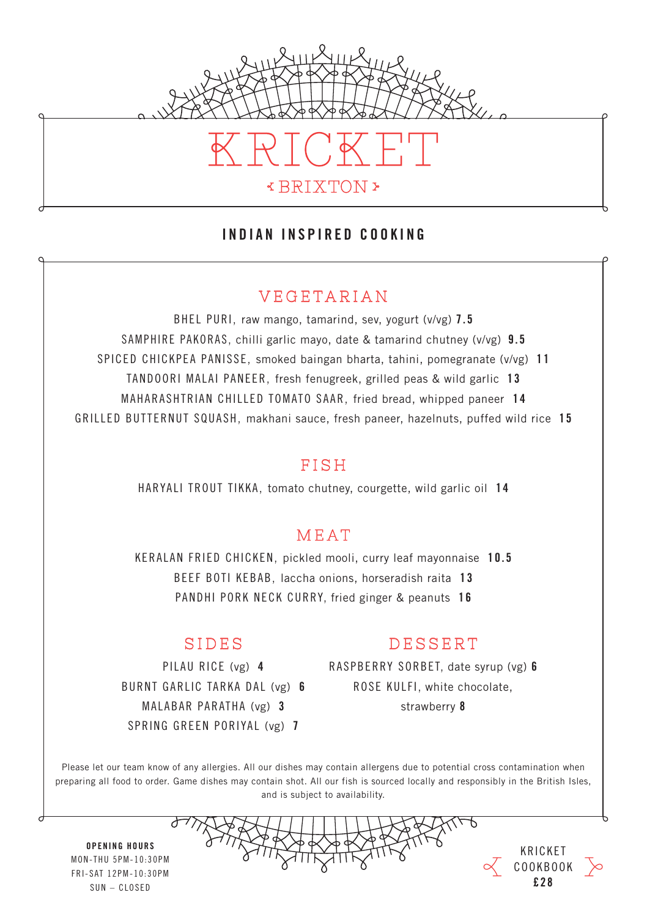

#### INDIAN INSPIRED COOKING

## VEGETARIAN

BHEL PURI, raw mango, tamarind, sev, yogurt (v/vg) 7.5 SAMPHIRE PAKORAS, chilli garlic mayo, date & tamarind chutney (v/vg) 9.5 SPICED CHICKPEA PANISSE, smoked baingan bharta, tahini, pomegranate (v/vg) 1 1 TANDOORI MALAI PANEER, fresh fenugreek, grilled peas & wild garlic 13 MAHARASHTRIAN CHILLED TOMATO SAAR, fried bread, whipped paneer 1 4 GRILLED BUTTERNUT SQUASH, makhani sauce, fresh paneer, hazelnuts, puffed wild rice 1 5

#### FISH

HARYALI TROUT TIKKA, tomato chutney, courgette, wild garlic oil 14

#### MEAT

KERALAN FRIED CHICKEN, pickled mooli, curry leaf mayonnaise 10.5 BEEF BOTI KEBAB, laccha onions, horseradish raita 13 PANDHI PORK NECK CURRY, fried ginger & peanuts 16

## SIDES

BURNT GARLIC TARKA DAL (vg) 6 MALABAR PARATHA (vg) 3 SPRING GREEN PORIYAL (vg) 7

## DESSERT

PILAU RICE (vg) 4 RASPBERRY SORBET, date syrup (vg) 6 ROSE KULFI, white chocolate, strawberry 8

Please let our team know of any allergies. All our dishes may contain allergens due to potential cross contamination when preparing all food to order. Game dishes may contain shot. All our fish is sourced locally and responsibly in the British Isles, and is subject to availability.





OPENING HOURS MON-THU 5PM-10:30PM FRI-SAT 12PM-10:30PM  $SUN = CLOSED$